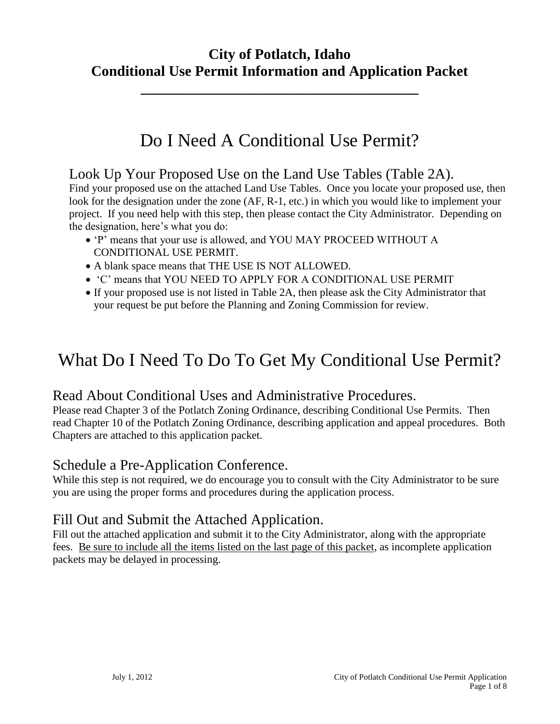# **City of Potlatch, Idaho Conditional Use Permit Information and Application Packet**

**\_\_\_\_\_\_\_\_\_\_\_\_\_\_\_\_\_\_\_\_\_\_\_\_\_\_\_\_\_\_\_\_\_\_\_\_\_\_**

# Do I Need A Conditional Use Permit?

### Look Up Your Proposed Use on the Land Use Tables (Table 2A).

Find your proposed use on the attached Land Use Tables. Once you locate your proposed use, then look for the designation under the zone (AF, R-1, etc.) in which you would like to implement your project. If you need help with this step, then please contact the City Administrator. Depending on the designation, here's what you do:

- 'P' means that your use is allowed, and YOU MAY PROCEED WITHOUT A CONDITIONAL USE PERMIT.
- A blank space means that THE USE IS NOT ALLOWED.
- 'C' means that YOU NEED TO APPLY FOR A CONDITIONAL USE PERMIT
- If your proposed use is not listed in Table 2A, then please ask the City Administrator that your request be put before the Planning and Zoning Commission for review.

# What Do I Need To Do To Get My Conditional Use Permit?

## Read About Conditional Uses and Administrative Procedures.

Please read Chapter 3 of the Potlatch Zoning Ordinance, describing Conditional Use Permits. Then read Chapter 10 of the Potlatch Zoning Ordinance, describing application and appeal procedures. Both Chapters are attached to this application packet.

## Schedule a Pre-Application Conference.

While this step is not required, we do encourage you to consult with the City Administrator to be sure you are using the proper forms and procedures during the application process.

## Fill Out and Submit the Attached Application.

Fill out the attached application and submit it to the City Administrator, along with the appropriate fees. Be sure to include all the items listed on the last page of this packet, as incomplete application packets may be delayed in processing.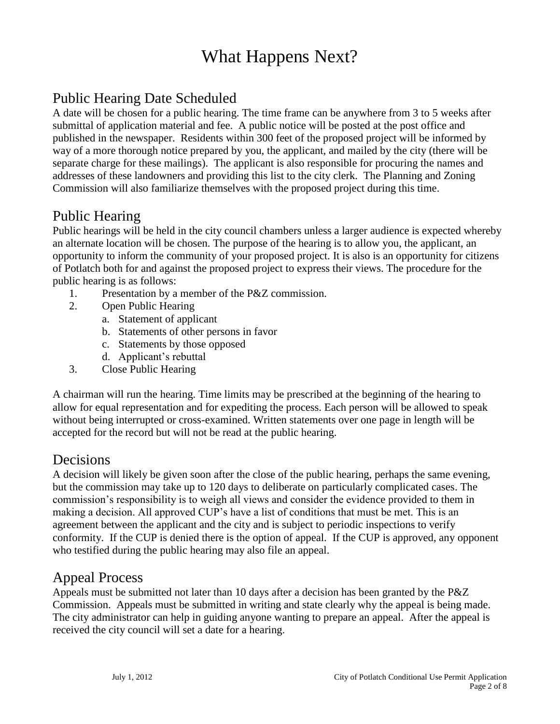# What Happens Next?

# Public Hearing Date Scheduled

A date will be chosen for a public hearing. The time frame can be anywhere from 3 to 5 weeks after submittal of application material and fee. A public notice will be posted at the post office and published in the newspaper. Residents within 300 feet of the proposed project will be informed by way of a more thorough notice prepared by you, the applicant, and mailed by the city (there will be separate charge for these mailings). The applicant is also responsible for procuring the names and addresses of these landowners and providing this list to the city clerk. The Planning and Zoning Commission will also familiarize themselves with the proposed project during this time.

### Public Hearing

Public hearings will be held in the city council chambers unless a larger audience is expected whereby an alternate location will be chosen. The purpose of the hearing is to allow you, the applicant, an opportunity to inform the community of your proposed project. It is also is an opportunity for citizens of Potlatch both for and against the proposed project to express their views. The procedure for the public hearing is as follows:

- 1. Presentation by a member of the P&Z commission.
- 2. Open Public Hearing
	- a. Statement of applicant
	- b. Statements of other persons in favor
	- c. Statements by those opposed
	- d. Applicant's rebuttal
- 3. Close Public Hearing

A chairman will run the hearing. Time limits may be prescribed at the beginning of the hearing to allow for equal representation and for expediting the process. Each person will be allowed to speak without being interrupted or cross-examined. Written statements over one page in length will be accepted for the record but will not be read at the public hearing.

### Decisions

A decision will likely be given soon after the close of the public hearing, perhaps the same evening, but the commission may take up to 120 days to deliberate on particularly complicated cases. The commission's responsibility is to weigh all views and consider the evidence provided to them in making a decision. All approved CUP's have a list of conditions that must be met. This is an agreement between the applicant and the city and is subject to periodic inspections to verify conformity. If the CUP is denied there is the option of appeal. If the CUP is approved, any opponent who testified during the public hearing may also file an appeal.

### Appeal Process

Appeals must be submitted not later than 10 days after a decision has been granted by the P&Z Commission. Appeals must be submitted in writing and state clearly why the appeal is being made. The city administrator can help in guiding anyone wanting to prepare an appeal. After the appeal is received the city council will set a date for a hearing.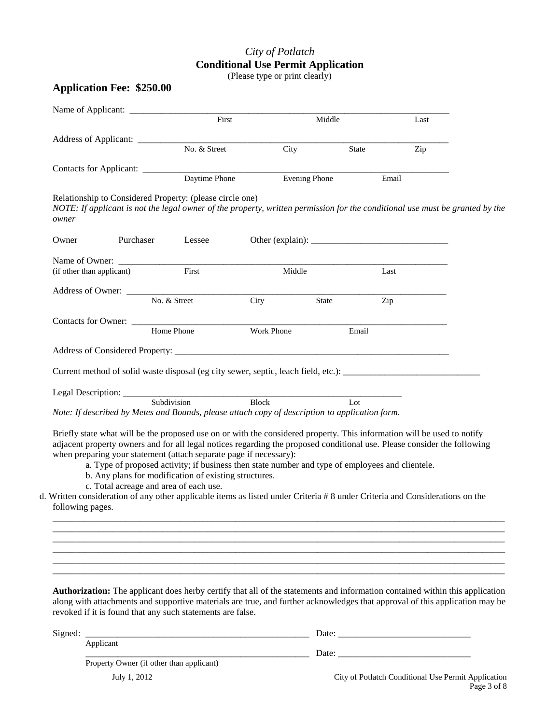## *City of Potlatch* **Conditional Use Permit Application**

(Please type or print clearly)

#### **Application Fee: \$250.00**

|                           |                                                                    | First        |                                                                                                                                                                                                                                                     | Middle       | Last  |  |
|---------------------------|--------------------------------------------------------------------|--------------|-----------------------------------------------------------------------------------------------------------------------------------------------------------------------------------------------------------------------------------------------------|--------------|-------|--|
|                           |                                                                    |              |                                                                                                                                                                                                                                                     |              |       |  |
|                           |                                                                    | No. & Street | City                                                                                                                                                                                                                                                | State        | Zip   |  |
|                           |                                                                    |              | Contacts for Applicant: Daytime Phone Evening P                                                                                                                                                                                                     |              |       |  |
|                           |                                                                    |              | <b>Evening Phone</b>                                                                                                                                                                                                                                |              | Email |  |
| owner                     | Relationship to Considered Property: (please circle one)           |              | NOTE: If applicant is not the legal owner of the property, written permission for the conditional use must be granted by the                                                                                                                        |              |       |  |
| Owner                     | Purchaser                                                          | Lessee       |                                                                                                                                                                                                                                                     |              |       |  |
|                           |                                                                    |              |                                                                                                                                                                                                                                                     |              |       |  |
| (if other than applicant) |                                                                    | First        | Middle                                                                                                                                                                                                                                              | Last         |       |  |
|                           |                                                                    | No. & Street | City                                                                                                                                                                                                                                                | Zip<br>State |       |  |
|                           |                                                                    |              |                                                                                                                                                                                                                                                     |              |       |  |
|                           | Contacts for Owner: <u>Home Phone</u>                              |              | Work Phone                                                                                                                                                                                                                                          | Email        |       |  |
|                           |                                                                    |              |                                                                                                                                                                                                                                                     |              |       |  |
|                           |                                                                    |              |                                                                                                                                                                                                                                                     |              |       |  |
|                           |                                                                    |              |                                                                                                                                                                                                                                                     |              |       |  |
|                           |                                                                    |              |                                                                                                                                                                                                                                                     |              |       |  |
|                           |                                                                    |              | <b>Block</b><br>Note: If described by Metes and Bounds, please attach copy of description to application form.                                                                                                                                      | Lot          |       |  |
|                           |                                                                    |              |                                                                                                                                                                                                                                                     |              |       |  |
|                           |                                                                    |              | Briefly state what will be the proposed use on or with the considered property. This information will be used to notify<br>adjacent property owners and for all legal notices regarding the proposed conditional use. Please consider the following |              |       |  |
|                           | when preparing your statement (attach separate page if necessary): |              |                                                                                                                                                                                                                                                     |              |       |  |
|                           |                                                                    |              | a. Type of proposed activity; if business then state number and type of employees and clientele.                                                                                                                                                    |              |       |  |
|                           | b. Any plans for modification of existing structures.              |              |                                                                                                                                                                                                                                                     |              |       |  |
|                           | c. Total acreage and area of each use.                             |              | d. Written consideration of any other applicable items as listed under Criteria # 8 under Criteria and Considerations on the                                                                                                                        |              |       |  |
|                           |                                                                    |              |                                                                                                                                                                                                                                                     |              |       |  |
|                           |                                                                    |              |                                                                                                                                                                                                                                                     |              |       |  |
| following pages.          |                                                                    |              |                                                                                                                                                                                                                                                     |              |       |  |
|                           |                                                                    |              |                                                                                                                                                                                                                                                     |              |       |  |

**Authorization:** The applicant does herby certify that all of the statements and information contained within this application along with attachments and supportive materials are true, and further acknowledges that approval of this application may be revoked if it is found that any such statements are false.

\_\_\_\_\_\_\_\_\_\_\_\_\_\_\_\_\_\_\_\_\_\_\_\_\_\_\_\_\_\_\_\_\_\_\_\_\_\_\_\_\_\_\_\_\_\_\_\_\_\_\_\_\_\_\_\_\_\_\_\_\_\_\_\_\_\_\_\_\_\_\_\_\_\_\_\_\_\_\_\_\_\_\_\_\_\_\_\_\_\_\_\_\_\_\_\_\_\_\_

| Signed: |                                          | Date: |
|---------|------------------------------------------|-------|
|         | Applicant                                |       |
|         |                                          | Date. |
|         | Property Owner (if other than applicant) |       |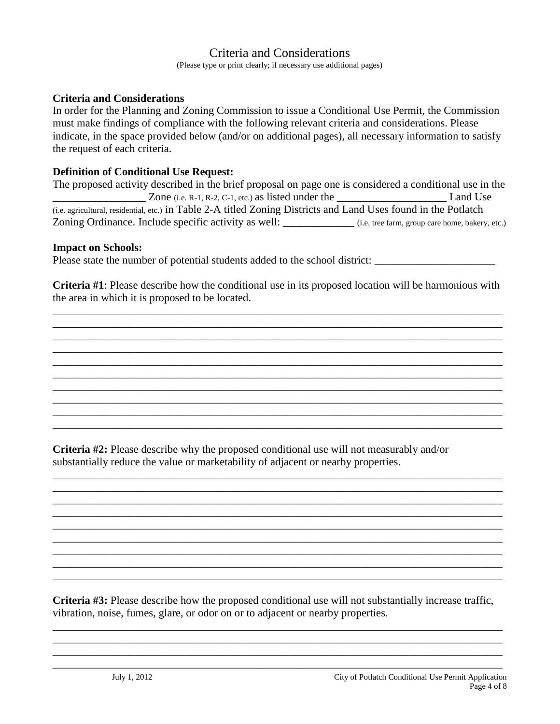### Criteria and Considerations

(Please type or print clearly; if necessary use additional pages)

#### **Criteria and Considerations**

In order for the Planning and Zoning Commission to issue a Conditional Use Permit, the Commission must make findings of compliance with the following relevant criteria and considerations. Please indicate, in the space provided below (and/or on additional pages), all necessary information to satisfy the request of each criteria.

#### **Definition of Conditional Use Request:**

| The proposed activity described in the brief proposal on page one is considered a conditional use in the        |                                                 |  |  |  |
|-----------------------------------------------------------------------------------------------------------------|-------------------------------------------------|--|--|--|
| Zone (i.e. R-1, R-2, C-1, etc.) as listed under the                                                             | Land Use                                        |  |  |  |
| (i.e. agricultural, residential, etc.) in Table 2-A titled Zoning Districts and Land Uses found in the Potlatch |                                                 |  |  |  |
| Zoning Ordinance. Include specific activity as well:                                                            | (i.e. tree farm, group care home, bakery, etc.) |  |  |  |

#### **Impact on Schools:**

Please state the number of potential students added to the school district: \_\_\_\_\_\_\_\_\_\_\_\_\_\_\_\_\_\_\_\_\_\_\_\_\_\_\_\_\_\_\_\_\_\_

**Criteria #1**: Please describe how the conditional use in its proposed location will be harmonious with the area in which it is proposed to be located.

\_\_\_\_\_\_\_\_\_\_\_\_\_\_\_\_\_\_\_\_\_\_\_\_\_\_\_\_\_\_\_\_\_\_\_\_\_\_\_\_\_\_\_\_\_\_\_\_\_\_\_\_\_\_\_\_\_\_\_\_\_\_\_\_\_\_\_\_\_\_\_\_\_\_\_\_\_\_\_\_\_\_ \_\_\_\_\_\_\_\_\_\_\_\_\_\_\_\_\_\_\_\_\_\_\_\_\_\_\_\_\_\_\_\_\_\_\_\_\_\_\_\_\_\_\_\_\_\_\_\_\_\_\_\_\_\_\_\_\_\_\_\_\_\_\_\_\_\_\_\_\_\_\_\_\_\_\_\_\_\_\_\_\_\_ \_\_\_\_\_\_\_\_\_\_\_\_\_\_\_\_\_\_\_\_\_\_\_\_\_\_\_\_\_\_\_\_\_\_\_\_\_\_\_\_\_\_\_\_\_\_\_\_\_\_\_\_\_\_\_\_\_\_\_\_\_\_\_\_\_\_\_\_\_\_\_\_\_\_\_\_\_\_\_\_\_\_ \_\_\_\_\_\_\_\_\_\_\_\_\_\_\_\_\_\_\_\_\_\_\_\_\_\_\_\_\_\_\_\_\_\_\_\_\_\_\_\_\_\_\_\_\_\_\_\_\_\_\_\_\_\_\_\_\_\_\_\_\_\_\_\_\_\_\_\_\_\_\_\_\_\_\_\_\_\_\_\_\_\_ \_\_\_\_\_\_\_\_\_\_\_\_\_\_\_\_\_\_\_\_\_\_\_\_\_\_\_\_\_\_\_\_\_\_\_\_\_\_\_\_\_\_\_\_\_\_\_\_\_\_\_\_\_\_\_\_\_\_\_\_\_\_\_\_\_\_\_\_\_\_\_\_\_\_\_\_\_\_\_\_\_\_ \_\_\_\_\_\_\_\_\_\_\_\_\_\_\_\_\_\_\_\_\_\_\_\_\_\_\_\_\_\_\_\_\_\_\_\_\_\_\_\_\_\_\_\_\_\_\_\_\_\_\_\_\_\_\_\_\_\_\_\_\_\_\_\_\_\_\_\_\_\_\_\_\_\_\_\_\_\_\_\_\_\_ \_\_\_\_\_\_\_\_\_\_\_\_\_\_\_\_\_\_\_\_\_\_\_\_\_\_\_\_\_\_\_\_\_\_\_\_\_\_\_\_\_\_\_\_\_\_\_\_\_\_\_\_\_\_\_\_\_\_\_\_\_\_\_\_\_\_\_\_\_\_\_\_\_\_\_\_\_\_\_\_\_\_ \_\_\_\_\_\_\_\_\_\_\_\_\_\_\_\_\_\_\_\_\_\_\_\_\_\_\_\_\_\_\_\_\_\_\_\_\_\_\_\_\_\_\_\_\_\_\_\_\_\_\_\_\_\_\_\_\_\_\_\_\_\_\_\_\_\_\_\_\_\_\_\_\_\_\_\_\_\_\_\_\_\_ \_\_\_\_\_\_\_\_\_\_\_\_\_\_\_\_\_\_\_\_\_\_\_\_\_\_\_\_\_\_\_\_\_\_\_\_\_\_\_\_\_\_\_\_\_\_\_\_\_\_\_\_\_\_\_\_\_\_\_\_\_\_\_\_\_\_\_\_\_\_\_\_\_\_\_\_\_\_\_\_\_\_ \_\_\_\_\_\_\_\_\_\_\_\_\_\_\_\_\_\_\_\_\_\_\_\_\_\_\_\_\_\_\_\_\_\_\_\_\_\_\_\_\_\_\_\_\_\_\_\_\_\_\_\_\_\_\_\_\_\_\_\_\_\_\_\_\_\_\_\_\_\_\_\_\_\_\_\_\_\_\_\_\_\_

**Criteria #2:** Please describe why the proposed conditional use will not measurably and/or substantially reduce the value or marketability of adjacent or nearby properties.

\_\_\_\_\_\_\_\_\_\_\_\_\_\_\_\_\_\_\_\_\_\_\_\_\_\_\_\_\_\_\_\_\_\_\_\_\_\_\_\_\_\_\_\_\_\_\_\_\_\_\_\_\_\_\_\_\_\_\_\_\_\_\_\_\_\_\_\_\_\_\_\_\_\_\_\_\_\_\_\_\_\_ \_\_\_\_\_\_\_\_\_\_\_\_\_\_\_\_\_\_\_\_\_\_\_\_\_\_\_\_\_\_\_\_\_\_\_\_\_\_\_\_\_\_\_\_\_\_\_\_\_\_\_\_\_\_\_\_\_\_\_\_\_\_\_\_\_\_\_\_\_\_\_\_\_\_\_\_\_\_\_\_\_\_ \_\_\_\_\_\_\_\_\_\_\_\_\_\_\_\_\_\_\_\_\_\_\_\_\_\_\_\_\_\_\_\_\_\_\_\_\_\_\_\_\_\_\_\_\_\_\_\_\_\_\_\_\_\_\_\_\_\_\_\_\_\_\_\_\_\_\_\_\_\_\_\_\_\_\_\_\_\_\_\_\_\_ \_\_\_\_\_\_\_\_\_\_\_\_\_\_\_\_\_\_\_\_\_\_\_\_\_\_\_\_\_\_\_\_\_\_\_\_\_\_\_\_\_\_\_\_\_\_\_\_\_\_\_\_\_\_\_\_\_\_\_\_\_\_\_\_\_\_\_\_\_\_\_\_\_\_\_\_\_\_\_\_\_\_ \_\_\_\_\_\_\_\_\_\_\_\_\_\_\_\_\_\_\_\_\_\_\_\_\_\_\_\_\_\_\_\_\_\_\_\_\_\_\_\_\_\_\_\_\_\_\_\_\_\_\_\_\_\_\_\_\_\_\_\_\_\_\_\_\_\_\_\_\_\_\_\_\_\_\_\_\_\_\_\_\_\_ \_\_\_\_\_\_\_\_\_\_\_\_\_\_\_\_\_\_\_\_\_\_\_\_\_\_\_\_\_\_\_\_\_\_\_\_\_\_\_\_\_\_\_\_\_\_\_\_\_\_\_\_\_\_\_\_\_\_\_\_\_\_\_\_\_\_\_\_\_\_\_\_\_\_\_\_\_\_\_\_\_\_ \_\_\_\_\_\_\_\_\_\_\_\_\_\_\_\_\_\_\_\_\_\_\_\_\_\_\_\_\_\_\_\_\_\_\_\_\_\_\_\_\_\_\_\_\_\_\_\_\_\_\_\_\_\_\_\_\_\_\_\_\_\_\_\_\_\_\_\_\_\_\_\_\_\_\_\_\_\_\_\_\_\_ \_\_\_\_\_\_\_\_\_\_\_\_\_\_\_\_\_\_\_\_\_\_\_\_\_\_\_\_\_\_\_\_\_\_\_\_\_\_\_\_\_\_\_\_\_\_\_\_\_\_\_\_\_\_\_\_\_\_\_\_\_\_\_\_\_\_\_\_\_\_\_\_\_\_\_\_\_\_\_\_\_\_ \_\_\_\_\_\_\_\_\_\_\_\_\_\_\_\_\_\_\_\_\_\_\_\_\_\_\_\_\_\_\_\_\_\_\_\_\_\_\_\_\_\_\_\_\_\_\_\_\_\_\_\_\_\_\_\_\_\_\_\_\_\_\_\_\_\_\_\_\_\_\_\_\_\_\_\_\_\_\_\_\_\_

**Criteria #3:** Please describe how the proposed conditional use will not substantially increase traffic, vibration, noise, fumes, glare, or odor on or to adjacent or nearby properties.

\_\_\_\_\_\_\_\_\_\_\_\_\_\_\_\_\_\_\_\_\_\_\_\_\_\_\_\_\_\_\_\_\_\_\_\_\_\_\_\_\_\_\_\_\_\_\_\_\_\_\_\_\_\_\_\_\_\_\_\_\_\_\_\_\_\_\_\_\_\_\_\_\_\_\_\_\_\_\_\_\_\_ \_\_\_\_\_\_\_\_\_\_\_\_\_\_\_\_\_\_\_\_\_\_\_\_\_\_\_\_\_\_\_\_\_\_\_\_\_\_\_\_\_\_\_\_\_\_\_\_\_\_\_\_\_\_\_\_\_\_\_\_\_\_\_\_\_\_\_\_\_\_\_\_\_\_\_\_\_\_\_\_\_\_ \_\_\_\_\_\_\_\_\_\_\_\_\_\_\_\_\_\_\_\_\_\_\_\_\_\_\_\_\_\_\_\_\_\_\_\_\_\_\_\_\_\_\_\_\_\_\_\_\_\_\_\_\_\_\_\_\_\_\_\_\_\_\_\_\_\_\_\_\_\_\_\_\_\_\_\_\_\_\_\_\_\_ \_\_\_\_\_\_\_\_\_\_\_\_\_\_\_\_\_\_\_\_\_\_\_\_\_\_\_\_\_\_\_\_\_\_\_\_\_\_\_\_\_\_\_\_\_\_\_\_\_\_\_\_\_\_\_\_\_\_\_\_\_\_\_\_\_\_\_\_\_\_\_\_\_\_\_\_\_\_\_\_\_\_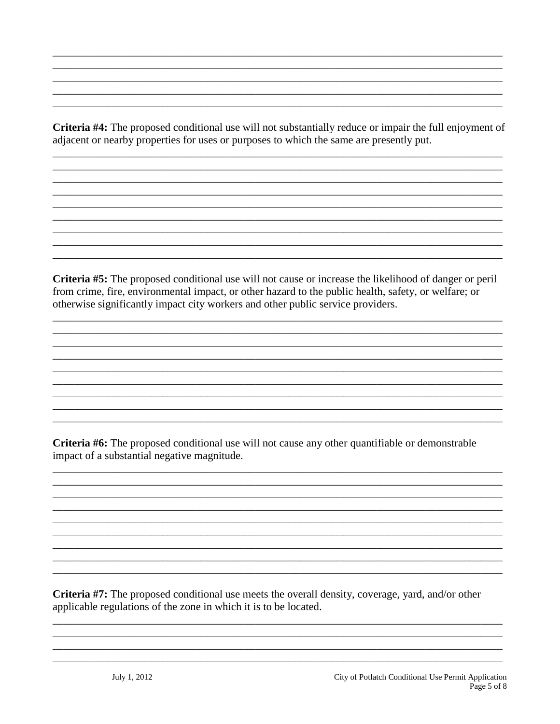Criteria #4: The proposed conditional use will not substantially reduce or impair the full enjoyment of adjacent or nearby properties for uses or purposes to which the same are presently put.

Criteria #5: The proposed conditional use will not cause or increase the likelihood of danger or peril from crime, fire, environmental impact, or other hazard to the public health, safety, or welfare; or otherwise significantly impact city workers and other public service providers.

Criteria #6: The proposed conditional use will not cause any other quantifiable or demonstrable impact of a substantial negative magnitude.

Criteria #7: The proposed conditional use meets the overall density, coverage, yard, and/or other applicable regulations of the zone in which it is to be located.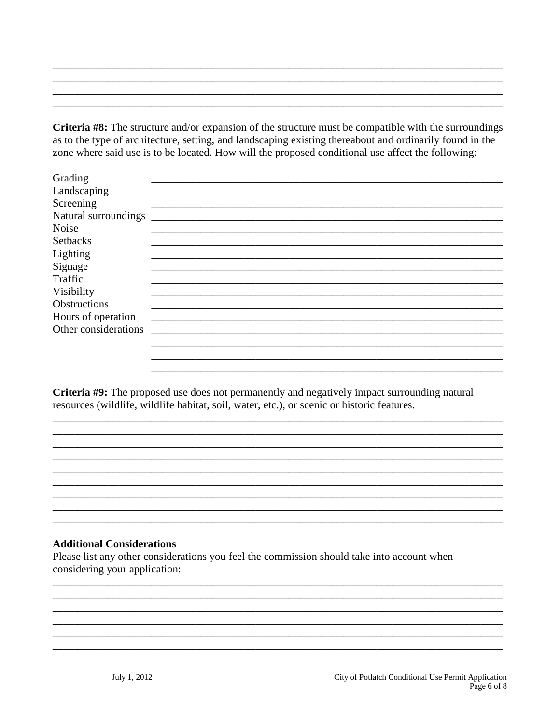Criteria #8: The structure and/or expansion of the structure must be compatible with the surroundings as to the type of architecture, setting, and landscaping existing thereabout and ordinarily found in the zone where said use is to be located. How will the proposed conditional use affect the following:

| Grading              |                                                                                                                       |
|----------------------|-----------------------------------------------------------------------------------------------------------------------|
| Landscaping          |                                                                                                                       |
| Screening            |                                                                                                                       |
| Natural surroundings |                                                                                                                       |
| <b>Noise</b>         |                                                                                                                       |
| <b>Setbacks</b>      |                                                                                                                       |
| Lighting             |                                                                                                                       |
| Signage              |                                                                                                                       |
| Traffic              |                                                                                                                       |
| Visibility           |                                                                                                                       |
| <b>Obstructions</b>  |                                                                                                                       |
| Hours of operation   | <u> 1989 - John Stoff, deutscher Stoff, der Stoff, der Stoff, der Stoff, der Stoff, der Stoff, der Stoff, der Sto</u> |
| Other considerations |                                                                                                                       |
|                      |                                                                                                                       |
|                      |                                                                                                                       |

Criteria #9: The proposed use does not permanently and negatively impact surrounding natural resources (wildlife, wildlife habitat, soil, water, etc.), or scenic or historic features.

#### **Additional Considerations**

Please list any other considerations you feel the commission should take into account when considering your application: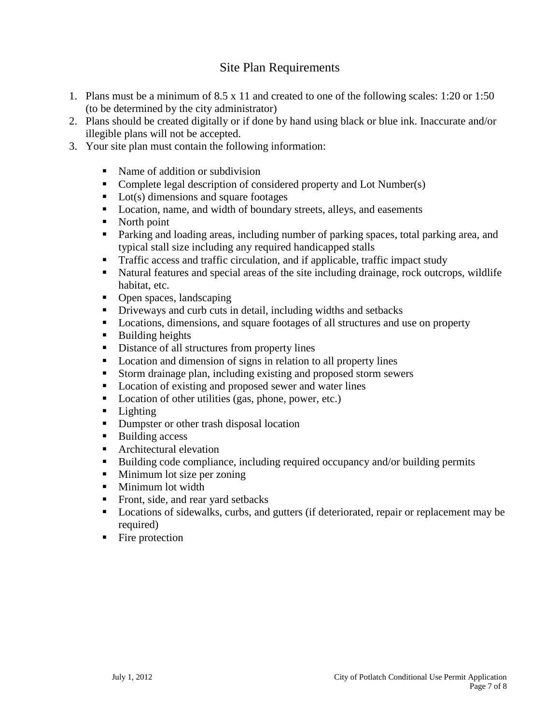### Site Plan Requirements

- 1. Plans must be a minimum of 8.5 x 11 and created to one of the following scales: 1:20 or 1:50 (to be determined by the city administrator)
- 2. Plans should be created digitally or if done by hand using black or blue ink. Inaccurate and/or illegible plans will not be accepted.
- 3. Your site plan must contain the following information:
	- Name of addition or subdivision
	- Complete legal description of considered property and Lot Number(s)
	- $\blacksquare$  Lot(s) dimensions and square footages
	- Location, name, and width of boundary streets, alleys, and easements
	- North point
	- **Parking and loading areas, including number of parking spaces, total parking area, and** typical stall size including any required handicapped stalls
	- **Traffic access and traffic circulation, and if applicable, traffic impact study**
	- Natural features and special areas of the site including drainage, rock outcrops, wildlife habitat, etc.
	- Open spaces, landscaping
	- Driveways and curb cuts in detail, including widths and setbacks
	- Locations, dimensions, and square footages of all structures and use on property
	- **Building heights**
	- Distance of all structures from property lines
	- Location and dimension of signs in relation to all property lines
	- Storm drainage plan, including existing and proposed storm sewers
	- **Location of existing and proposed sewer and water lines**
	- Location of other utilities (gas, phone, power, etc.)
	- **Lighting**
	- Dumpster or other trash disposal location
	- Building access
	- Architectural elevation
	- Building code compliance, including required occupancy and/or building permits
	- **Minimum lot size per zoning**
	- **Minimum lot width**
	- Front, side, and rear yard setbacks
	- **Locations of sidewalks, curbs, and gutters (if deteriorated, repair or replacement may be** required)
	- Fire protection